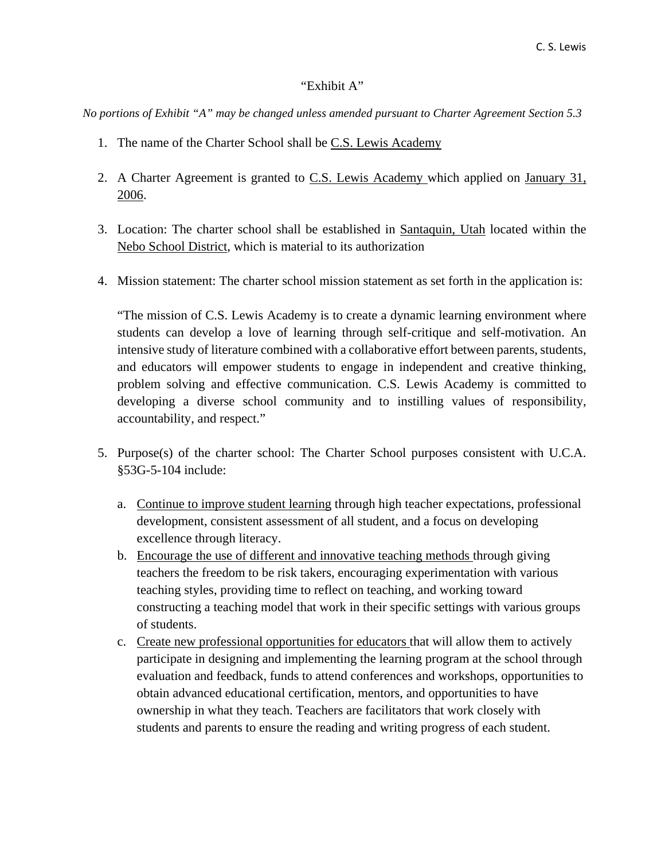## "Exhibit A"

*No portions of Exhibit "A" may be changed unless amended pursuant to Charter Agreement Section 5.3*

- 1. The name of the Charter School shall be C.S. Lewis Academy
- 2. A Charter Agreement is granted to C.S. Lewis Academy which applied on January 31, 2006.
- 3. Location: The charter school shall be established in Santaquin, Utah located within the Nebo School District, which is material to its authorization
- 4. Mission statement: The charter school mission statement as set forth in the application is:

"The mission of C.S. Lewis Academy is to create a dynamic learning environment where students can develop a love of learning through self-critique and self-motivation. An intensive study of literature combined with a collaborative effort between parents, students, and educators will empower students to engage in independent and creative thinking, problem solving and effective communication. C.S. Lewis Academy is committed to developing a diverse school community and to instilling values of responsibility, accountability, and respect."

- 5. Purpose(s) of the charter school: The Charter School purposes consistent with U.C.A. §53G-5-104 include:
	- a. Continue to improve student learning through high teacher expectations, professional development, consistent assessment of all student, and a focus on developing excellence through literacy.
	- b. Encourage the use of different and innovative teaching methods through giving teachers the freedom to be risk takers, encouraging experimentation with various teaching styles, providing time to reflect on teaching, and working toward constructing a teaching model that work in their specific settings with various groups of students.
	- c. Create new professional opportunities for educators that will allow them to actively participate in designing and implementing the learning program at the school through evaluation and feedback, funds to attend conferences and workshops, opportunities to obtain advanced educational certification, mentors, and opportunities to have ownership in what they teach. Teachers are facilitators that work closely with students and parents to ensure the reading and writing progress of each student.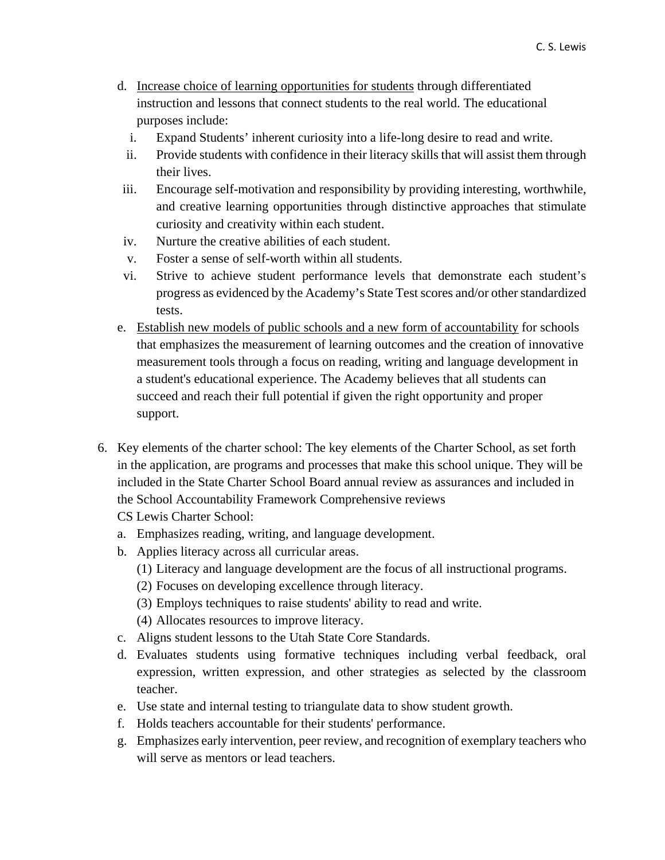- d. Increase choice of learning opportunities for students through differentiated instruction and lessons that connect students to the real world. The educational purposes include:
	- i. Expand Students' inherent curiosity into a life-long desire to read and write.
	- ii. Provide students with confidence in their literacy skills that will assist them through their lives.
- iii. Encourage self-motivation and responsibility by providing interesting, worthwhile, and creative learning opportunities through distinctive approaches that stimulate curiosity and creativity within each student.
- iv. Nurture the creative abilities of each student.
- v. Foster a sense of self-worth within all students.
- vi. Strive to achieve student performance levels that demonstrate each student's progress as evidenced by the Academy's State Test scores and/or other standardized tests.
- e. Establish new models of public schools and a new form of accountability for schools that emphasizes the measurement of learning outcomes and the creation of innovative measurement tools through a focus on reading, writing and language development in a student's educational experience. The Academy believes that all students can succeed and reach their full potential if given the right opportunity and proper support.
- 6. Key elements of the charter school: The key elements of the Charter School, as set forth in the application, are programs and processes that make this school unique. They will be included in the State Charter School Board annual review as assurances and included in the School Accountability Framework Comprehensive reviews
	- CS Lewis Charter School:
	- a. Emphasizes reading, writing, and language development.
	- b. Applies literacy across all curricular areas.
		- (1) Literacy and language development are the focus of all instructional programs.
		- (2) Focuses on developing excellence through literacy.
		- (3) Employs techniques to raise students' ability to read and write.
		- (4) Allocates resources to improve literacy.
	- c. Aligns student lessons to the Utah State Core Standards.
	- d. Evaluates students using formative techniques including verbal feedback, oral expression, written expression, and other strategies as selected by the classroom teacher.
	- e. Use state and internal testing to triangulate data to show student growth.
	- f. Holds teachers accountable for their students' performance.
	- g. Emphasizes early intervention, peer review, and recognition of exemplary teachers who will serve as mentors or lead teachers.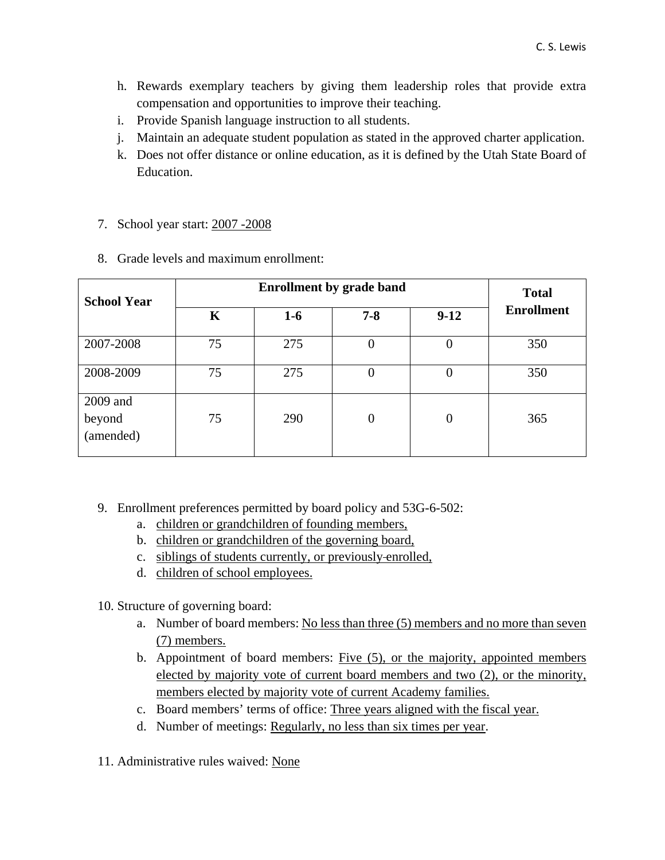- h. Rewards exemplary teachers by giving them leadership roles that provide extra compensation and opportunities to improve their teaching.
- i. Provide Spanish language instruction to all students.
- j. Maintain an adequate student population as stated in the approved charter application.
- k. Does not offer distance or online education, as it is defined by the Utah State Board of Education.
- 7. School year start: 2007 -2008

|  | 8. Grade levels and maximum enrollment: |
|--|-----------------------------------------|
|  |                                         |

| <b>School Year</b>              | <b>Enrollment by grade band</b> |       |                |                | <b>Total</b>      |  |
|---------------------------------|---------------------------------|-------|----------------|----------------|-------------------|--|
|                                 | K                               | $1-6$ | $7 - 8$        | $9-12$         | <b>Enrollment</b> |  |
| 2007-2008                       | 75                              | 275   | 0              | O              | 350               |  |
| 2008-2009                       | 75                              | 275   | O              | $\theta$       | 350               |  |
| 2009 and<br>beyond<br>(amended) | 75                              | 290   | $\overline{0}$ | $\overline{0}$ | 365               |  |

- 9. Enrollment preferences permitted by board policy and 53G-6-502:
	- a. children or grandchildren of founding members,
	- b. children or grandchildren of the governing board,
	- c. siblings of students currently, or previously enrolled,
	- d. children of school employees.

10. Structure of governing board:

- a. Number of board members: No less than three (5) members and no more than seven (7) members.
- b. Appointment of board members: Five (5), or the majority, appointed members elected by majority vote of current board members and two (2), or the minority, members elected by majority vote of current Academy families.
- c. Board members' terms of office: Three years aligned with the fiscal year.
- d. Number of meetings: Regularly, no less than six times per year.
- 11. Administrative rules waived: None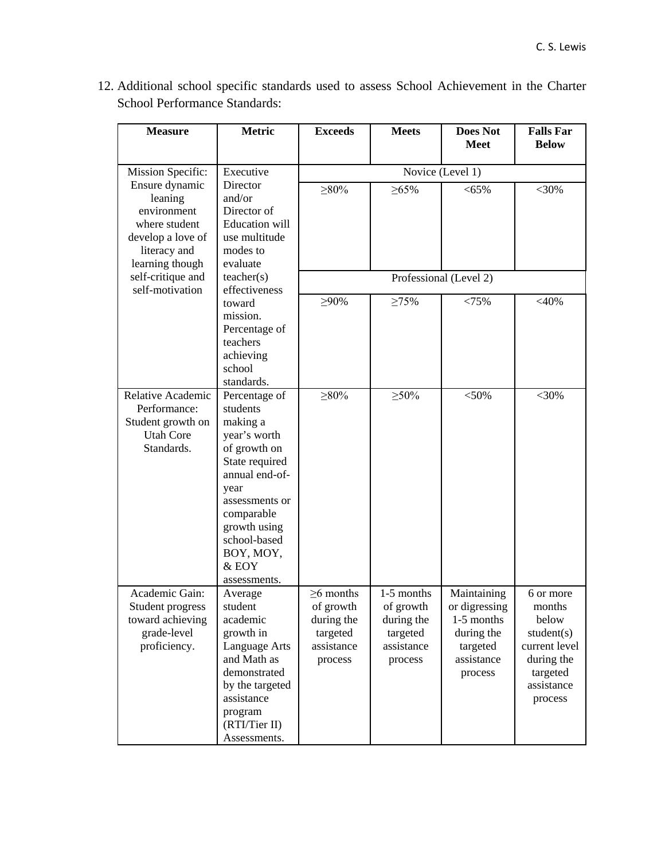| <b>Measure</b>                                                                                                    | <b>Metric</b>                                                                                                                                                                                                           | <b>Exceeds</b>                                                                  | <b>Meets</b>                                                               | <b>Does Not</b><br><b>Meet</b>                                                                | <b>Falls Far</b><br><b>Below</b>                                                                               |  |
|-------------------------------------------------------------------------------------------------------------------|-------------------------------------------------------------------------------------------------------------------------------------------------------------------------------------------------------------------------|---------------------------------------------------------------------------------|----------------------------------------------------------------------------|-----------------------------------------------------------------------------------------------|----------------------------------------------------------------------------------------------------------------|--|
| Mission Specific:                                                                                                 | Executive                                                                                                                                                                                                               | Novice (Level 1)                                                                |                                                                            |                                                                                               |                                                                                                                |  |
| Ensure dynamic<br>leaning<br>environment<br>where student<br>develop a love of<br>literacy and<br>learning though | Director<br>and/or<br>Director of<br><b>Education</b> will<br>use multitude<br>modes to<br>evaluate<br>teacher(s)<br>effectiveness                                                                                      | $>80\%$                                                                         | $\geq 65\%$                                                                | $< 65\%$                                                                                      | $<$ 30%                                                                                                        |  |
| self-critique and<br>self-motivation                                                                              |                                                                                                                                                                                                                         | Professional (Level 2)                                                          |                                                                            |                                                                                               |                                                                                                                |  |
|                                                                                                                   | toward<br>mission.<br>Percentage of<br>teachers<br>achieving<br>school<br>standards.                                                                                                                                    | $>90\%$                                                                         | $\geq 75\%$                                                                | < 75%                                                                                         | $<$ 40%                                                                                                        |  |
| Relative Academic<br>Performance:<br>Student growth on<br><b>Utah Core</b><br>Standards.                          | Percentage of<br>students<br>making a<br>year's worth<br>of growth on<br>State required<br>annual end-of-<br>year<br>assessments or<br>comparable<br>growth using<br>school-based<br>BOY, MOY,<br>& EOY<br>assessments. | $\geq 80\%$                                                                     | $\geq 50\%$                                                                | $<$ 50%                                                                                       | $<$ 30%                                                                                                        |  |
| Academic Gain:<br>Student progress<br>toward achieving<br>grade-level<br>proficiency.                             | Average<br>student<br>academic<br>growth in<br><b>Language Arts</b><br>and Math as<br>demonstrated<br>by the targeted<br>assistance<br>program<br>(RTI/Tier II)<br>Assessments.                                         | $\geq$ 6 months<br>of growth<br>during the<br>targeted<br>assistance<br>process | 1-5 months<br>of growth<br>during the<br>targeted<br>assistance<br>process | Maintaining<br>or digressing<br>1-5 months<br>during the<br>targeted<br>assistance<br>process | 6 or more<br>months<br>below<br>student(s)<br>current level<br>during the<br>targeted<br>assistance<br>process |  |

12. Additional school specific standards used to assess School Achievement in the Charter School Performance Standards: